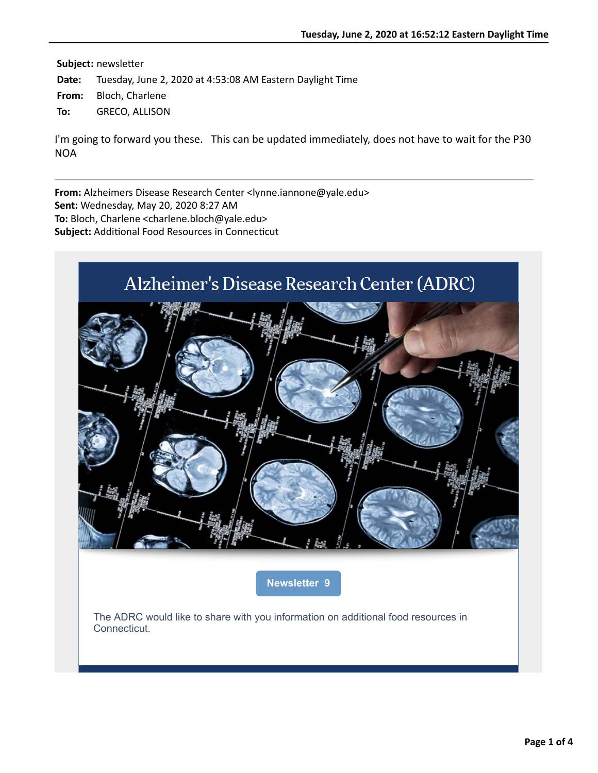# Alzheimer's Disease Research Center (ADRC)



**[Newsletter 9](https://nam05.safelinks.protection.outlook.com/?url=http%3A%2F%2Fr20.rs6.net%2Ftn.jsp%3Ff%3D001fqcupSd_OOOgYlcj7WtuS_JmWlAHKnfBzh8IuwrTDol3AXUYblFQA6F5yt_t4ZF8S15qvwpLnyWUbUVsdn1ZweqgdQ7eeAnZMN1BLNTitgEXvi9Y-qdAtSS48_wovfxM4XYev5spytP4ln6pyTH78oBmaw-Kar-E3_VJFV7JK-M%3D%26c%3DEAfCMMsiTvmBeBdhNaffgSw9y5fIRcswXKO-5wTP-nih_qgDLGP0FQ%3D%3D%26ch%3DQsXaCUWO3CheOi-QlSsol9T8AmftJYxiVWyVy4QzF5bVrxPI9FuXgQ%3D%3D&data=02%7C01%7Callison.greco%40yale.edu%7Cfc5edbde3d2d42e292a308d806d25f90%7Cdd8cbebb21394df8b4114e3e87abeb5c%7C0%7C0%7C637266847901139548&sdata=yC4WASbwnqo41u3OqUVV7RVn9w3pTx1CUAuyJU22qyk%3D&reserved=0)**

The ADRC would like to share with you information on additional food resources in Connecticut.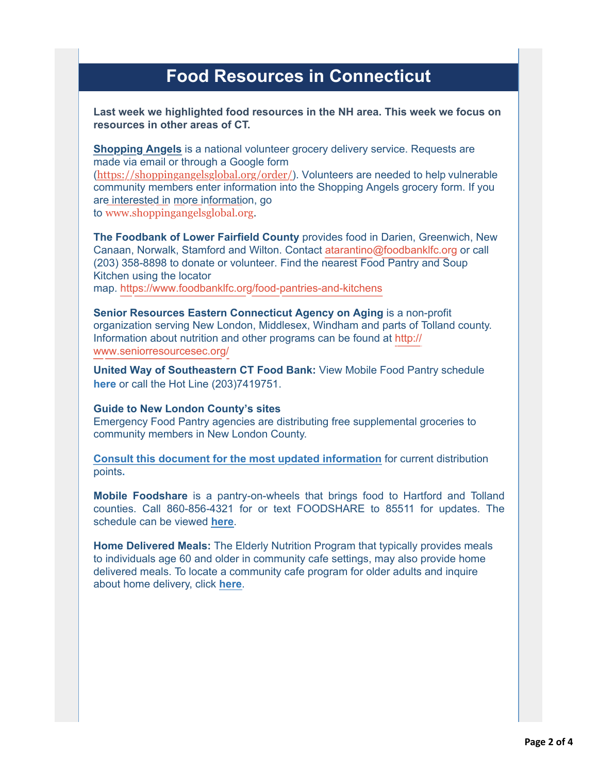# **Food Resources in Connecticut**

#### **Last week we highlighted food resources in the NH area. This week we focus on resources in other areas of CT.**

**[Shopping Angels](https://nam05.safelinks.protection.outlook.com/?url=http%3A%2F%2Fr20.rs6.net%2Ftn.jsp%3Ff%3D001fqcupSd_OOOgYlcj7WtuS_JmWlAHKnfBzh8IuwrTDol3AXUYblFQAzU3cZA8kOczsgtfPWCgIKoNPH1ozhzSrjlYekqEdWnDF-N_1BCmeT2ZiHvtExTvNCAGt7rklljrNS7HqE5wRsh2iONPvEM8qsGgIaXkEJJuJVqVHJEFpwF9IxeTfaAgx8ww-pnbxQOxZYg9cD3sfmdlfDza_Bsd7fNKvh4eRGYi7g9cd8EthvQ287CsSQE7UmRPXIcR5HSYldXPakMzvEiHPg_t6dW2rJg5gQ5k5QPUWvDHjfk-u4B_NBFPvj2stS1Ge8ji8R4BoeApyLm_LkAhdCDzygMd9JshXUkb7wfJW_5zCJP7qEwXLM_seh5HeFVy3JOHHDALss6QwRGaD43cxaB7UF2pmBqHyhHxX0wa28GYlOaVYbUS0mmAc0eJ54Pg-eJAV1IrLRTFy2cz1f-TtiYNkOQsvRhYOgGw0-V0d8Agk01UR2X718xohB7TMzQuyjf_Ejd2BN1yhAgiSuVKnT_gmtAkIke408IXFI_mdLMSSC9uR7CxWhAa_LC45obpc1qUetwZ%26c%3DEAfCMMsiTvmBeBdhNaffgSw9y5fIRcswXKO-5wTP-nih_qgDLGP0FQ%3D%3D%26ch%3DQsXaCUWO3CheOi-QlSsol9T8AmftJYxiVWyVy4QzF5bVrxPI9FuXgQ%3D%3D&data=02%7C01%7Callison.greco%40yale.edu%7Cfc5edbde3d2d42e292a308d806d25f90%7Cdd8cbebb21394df8b4114e3e87abeb5c%7C0%7C0%7C637266847901149530&sdata=K%2BtJB4goQrqf9fwa3xIDyZKQTHZMS6bksthHaaHsPZw%3D&reserved=0)** is a national volunteer grocery delivery service. Requests are made via email or through a Google form ([https://shoppingangelsglobal.org/order/](https://nam05.safelinks.protection.outlook.com/?url=http%3A%2F%2Fr20.rs6.net%2Ftn.jsp%3Ff%3D001fqcupSd_OOOgYlcj7WtuS_JmWlAHKnfBzh8IuwrTDol3AXUYblFQAzU3cZA8kOczfHxRbqs3m1Tb2_kQaBhpH8fh7O7M0a-M9W8fEPsOlOOj5hqWc-bQPVgqOE0MeEzweFWPVnKVzZ6zuAk_A0tfSx-ShHe5iYZzzXVHT15-N9w%3D%26c%3DEAfCMMsiTvmBeBdhNaffgSw9y5fIRcswXKO-5wTP-nih_qgDLGP0FQ%3D%3D%26ch%3DQsXaCUWO3CheOi-QlSsol9T8AmftJYxiVWyVy4QzF5bVrxPI9FuXgQ%3D%3D&data=02%7C01%7Callison.greco%40yale.edu%7Cfc5edbde3d2d42e292a308d806d25f90%7Cdd8cbebb21394df8b4114e3e87abeb5c%7C0%7C0%7C637266847901159525&sdata=MYeWFUTdygg9QSuWtWfx%2BoTc7AH6c9fOFQsDpB6N3ww%3D&reserved=0)). Volunteers are needed to help vulnerable community members enter information into the Shopping Angels grocery form. If you are interested in more information, go to [www.shoppingangelsglobal.org.](https://nam05.safelinks.protection.outlook.com/?url=http%3A%2F%2Fr20.rs6.net%2Ftn.jsp%3Ff%3D001fqcupSd_OOOgYlcj7WtuS_JmWlAHKnfBzh8IuwrTDol3AXUYblFQAzU3cZA8kOczdHS_g2PXmDUmk4kz5MbeFrVogn0LT0cx2SMjY6TG5Tt7RUzy2FRyT5npQ08XhOA3JXHr3hLjVtBiU09P2QVIhIhbYgFFTVIV%26c%3DEAfCMMsiTvmBeBdhNaffgSw9y5fIRcswXKO-5wTP-nih_qgDLGP0FQ%3D%3D%26ch%3DQsXaCUWO3CheOi-QlSsol9T8AmftJYxiVWyVy4QzF5bVrxPI9FuXgQ%3D%3D&data=02%7C01%7Callison.greco%40yale.edu%7Cfc5edbde3d2d42e292a308d806d25f90%7Cdd8cbebb21394df8b4114e3e87abeb5c%7C0%7C0%7C637266847901159525&sdata=xSG8AKLoWTL0%2FUYWuuZmcMqQnrzsRJW9S7ldYiy9M%2Bk%3D&reserved=0)

**The Foodbank of Lower Fairfield County** provides food in Darien, Greenwich, New Canaan, Norwalk, Stamford and Wilton. Contact [atarantino@foodbanklfc.org](mailto:atarantino@foodbanklfc.org) or call (203) 358-8898 to donate or volunteer. Find the nearest Food Pantry and Soup Kitchen using the locator map. [https://www.foodbanklfc.org/food-pantries-and-kitchens](https://nam05.safelinks.protection.outlook.com/?url=http%3A%2F%2Fr20.rs6.net%2Ftn.jsp%3Ff%3D001fqcupSd_OOOgYlcj7WtuS_JmWlAHKnfBzh8IuwrTDol3AXUYblFQAzU3cZA8kOczSQvq2LQnTARmZkX19jn0If4it-9_hTd-vlVo-lzS_Qp1nu3CWf0iAraLu0r_DBR044HKmDJd6hTmXyAeN9zRMLTXXhGnezNZWf7jESr3TzlZSn2Vr0pq8g%3D%3D%26c%3DEAfCMMsiTvmBeBdhNaffgSw9y5fIRcswXKO-5wTP-nih_qgDLGP0FQ%3D%3D%26ch%3DQsXaCUWO3CheOi-QlSsol9T8AmftJYxiVWyVy4QzF5bVrxPI9FuXgQ%3D%3D&data=02%7C01%7Callison.greco%40yale.edu%7Cfc5edbde3d2d42e292a308d806d25f90%7Cdd8cbebb21394df8b4114e3e87abeb5c%7C0%7C0%7C637266847901169523&sdata=TtZtnnWBdCUddFRqVv%2BdrXEKPLtKqC9j%2F2NWQR1KaKk%3D&reserved=0)

**Senior Resources Eastern Connecticut Agency on Aging** is a non-profit organization serving New London, Middlesex, Windham and parts of Tolland county. [Information about nutrition and other programs can be found at](https://nam05.safelinks.protection.outlook.com/?url=http%3A%2F%2Fr20.rs6.net%2Ftn.jsp%3Ff%3D001fqcupSd_OOOgYlcj7WtuS_JmWlAHKnfBzh8IuwrTDol3AXUYblFQAzU3cZA8kOczV9puYk7m0NrLBHKkI3UMYt7jaYVmCMFPveFO3lsRiuwyhdbz2mtqaznpKO4yC2Hd_o3Z-ummshRz5-51u6YuzsLN1SdeSiIK%26c%3DEAfCMMsiTvmBeBdhNaffgSw9y5fIRcswXKO-5wTP-nih_qgDLGP0FQ%3D%3D%26ch%3DQsXaCUWO3CheOi-QlSsol9T8AmftJYxiVWyVy4QzF5bVrxPI9FuXgQ%3D%3D&data=02%7C01%7Callison.greco%40yale.edu%7Cfc5edbde3d2d42e292a308d806d25f90%7Cdd8cbebb21394df8b4114e3e87abeb5c%7C0%7C0%7C637266847901169523&sdata=ifuYAAK9awpPvTks%2FtxMjbv0eLwo2FUX8NgEnFjqqSg%3D&reserved=0) http:// www.seniorresourcesec.org/

**United Way of Southeastern CT Food Bank:** View Mobile Food Pantry schedule **[here](https://nam05.safelinks.protection.outlook.com/?url=http%3A%2F%2Fr20.rs6.net%2Ftn.jsp%3Ff%3D001fqcupSd_OOOgYlcj7WtuS_JmWlAHKnfBzh8IuwrTDol3AXUYblFQAzU3cZA8kOczD9cxw1FhQWc63e0-lSmica6Leb1trn90rB68w16pajI6P2EGpBaULEOlKtlpN3XvFGVgf5fiw3eFbUgmg90qf-VqUGtGiaklwBimoeJ6C4gUCK3W_Wa_Fnt6I-wi3NMVq--gl6VoDMJ-O8NhR_fClBKLw18Th0tV%26c%3DEAfCMMsiTvmBeBdhNaffgSw9y5fIRcswXKO-5wTP-nih_qgDLGP0FQ%3D%3D%26ch%3DQsXaCUWO3CheOi-QlSsol9T8AmftJYxiVWyVy4QzF5bVrxPI9FuXgQ%3D%3D&data=02%7C01%7Callison.greco%40yale.edu%7Cfc5edbde3d2d42e292a308d806d25f90%7Cdd8cbebb21394df8b4114e3e87abeb5c%7C0%7C0%7C637266847901179507&sdata=RHvQlEPsdGo1Ul2%2FSzXddbBdq9XS2lNag3w7o65IgPI%3D&reserved=0)** or call the Hot Line (203)7419751.

#### **Guide to New London County's sites**

Emergency Food Pantry agencies are distributing free supplemental groceries to community members in New London County.

**[Consult this document for the most updated information](https://nam05.safelinks.protection.outlook.com/?url=http%3A%2F%2Fr20.rs6.net%2Ftn.jsp%3Ff%3D001fqcupSd_OOOgYlcj7WtuS_JmWlAHKnfBzh8IuwrTDol3AXUYblFQAzU3cZA8kOczL8MG9kdg5y4sQVrC-T5SFeLY_f2j0ISYjtjwiN_86ORb4czEdPtGrEQNpjxUrg0F7Odc8xmEiBatPZbCTZyoNH186A1tMJ9LI0mbunGymR3--F6BZ6ZffkCzqIMJJyRqyVSL32jCJduaMUoemyrTCPwPddlC_2SaVXrvuy6pyQGn_RvcK8JlPQ%3D%3D%26c%3DEAfCMMsiTvmBeBdhNaffgSw9y5fIRcswXKO-5wTP-nih_qgDLGP0FQ%3D%3D%26ch%3DQsXaCUWO3CheOi-QlSsol9T8AmftJYxiVWyVy4QzF5bVrxPI9FuXgQ%3D%3D&data=02%7C01%7Callison.greco%40yale.edu%7Cfc5edbde3d2d42e292a308d806d25f90%7Cdd8cbebb21394df8b4114e3e87abeb5c%7C0%7C0%7C637266847901179507&sdata=81j1LQ9IB0m946ZXJ3yMjj8hspmnw7OnKZuHUCjsoiA%3D&reserved=0)** for current distribution points**.**

**Mobile Foodshare** is a pantry-on-wheels that brings food to Hartford and Tolland counties. Call 860-856-4321 for or text FOODSHARE to 85511 for updates. The schedule can be viewed **[here](https://nam05.safelinks.protection.outlook.com/?url=http%3A%2F%2Fr20.rs6.net%2Ftn.jsp%3Ff%3D001fqcupSd_OOOgYlcj7WtuS_JmWlAHKnfBzh8IuwrTDol3AXUYblFQAzU3cZA8kOczJd31PEwoMb0yesGtGnx0oFLbYtmUfsb1eVxtaV5SeZc6B_acwssrjyZWE01vj9omZQLzoc2fs4p7yhI5uS-qXutTt9MwqAjRcTM1QGOirtuA1cwykZB2ZF8m5HXFR8NLKC-QIMfJp_-PglBhK5nJhw%3D%3D%26c%3DEAfCMMsiTvmBeBdhNaffgSw9y5fIRcswXKO-5wTP-nih_qgDLGP0FQ%3D%3D%26ch%3DQsXaCUWO3CheOi-QlSsol9T8AmftJYxiVWyVy4QzF5bVrxPI9FuXgQ%3D%3D&data=02%7C01%7Callison.greco%40yale.edu%7Cfc5edbde3d2d42e292a308d806d25f90%7Cdd8cbebb21394df8b4114e3e87abeb5c%7C0%7C0%7C637266847901189509&sdata=YEp%2B96CuA0rPj0mPrV5I1BioQpnGIzggOJ3BCgSAlCo%3D&reserved=0)**.

**Home Delivered Meals:** The Elderly Nutrition Program that typically provides meals to individuals age 60 and older in community cafe settings, may also provide home delivered meals. To locate a community cafe program for older adults and inquire about home delivery, click **[here](https://nam05.safelinks.protection.outlook.com/?url=http%3A%2F%2Fr20.rs6.net%2Ftn.jsp%3Ff%3D001fqcupSd_OOOgYlcj7WtuS_JmWlAHKnfBzh8IuwrTDol3AXUYblFQAzU3cZA8kOczaTXe6UcLS0R23cNWMeaFU3oIoYG7M9wA8dVljB1kAeeDSJBagB4paoo0uNKBDyGjLbCxi8s1S58bDwndNLrwjUvDVoEAKNTXByQ-1d56iftAP04Vkvz3oL9lB4JmJixgDMbGRblLo8eyZyjHnpWnsbnfW0eTPoM2fFFC_br4gABs6k4UkmgwZE8tlSC5SGAlFaAhpKy7yAArH21lRE1xZg%3D%3D%26c%3DEAfCMMsiTvmBeBdhNaffgSw9y5fIRcswXKO-5wTP-nih_qgDLGP0FQ%3D%3D%26ch%3DQsXaCUWO3CheOi-QlSsol9T8AmftJYxiVWyVy4QzF5bVrxPI9FuXgQ%3D%3D&data=02%7C01%7Callison.greco%40yale.edu%7Cfc5edbde3d2d42e292a308d806d25f90%7Cdd8cbebb21394df8b4114e3e87abeb5c%7C0%7C0%7C637266847901199502&sdata=ULUq9bzPiB%2Ft0h0RPY3kUMxFBdDQiBSqphVruZ1g%2BiM%3D&reserved=0)**.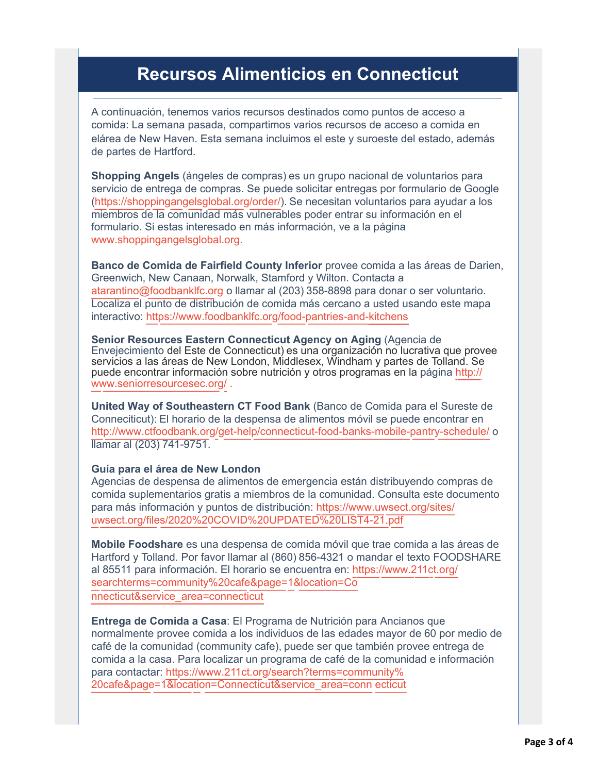## **Recursos Alimenticios en Connecticut**

A continuación, tenemos varios recursos destinados como puntos de acceso a comida: La semana pasada, compartimos varios recursos de acceso a comida en elárea de New Haven. Esta semana incluimos el este y suroeste del estado, además de partes de Hartford.

**Shopping Angels** (ángeles de compras) es un grupo nacional de voluntarios para servicio de entrega de compras. Se puede solicitar entregas por formulario de Google [\(https://shoppingangelsglobal.org/order/](https://nam05.safelinks.protection.outlook.com/?url=http%3A%2F%2Fr20.rs6.net%2Ftn.jsp%3Ff%3D001fqcupSd_OOOgYlcj7WtuS_JmWlAHKnfBzh8IuwrTDol3AXUYblFQAzU3cZA8kOczfHxRbqs3m1Tb2_kQaBhpH8fh7O7M0a-M9W8fEPsOlOOj5hqWc-bQPVgqOE0MeEzweFWPVnKVzZ6zuAk_A0tfSx-ShHe5iYZzzXVHT15-N9w%3D%26c%3DEAfCMMsiTvmBeBdhNaffgSw9y5fIRcswXKO-5wTP-nih_qgDLGP0FQ%3D%3D%26ch%3DQsXaCUWO3CheOi-QlSsol9T8AmftJYxiVWyVy4QzF5bVrxPI9FuXgQ%3D%3D&data=02%7C01%7Callison.greco%40yale.edu%7Cfc5edbde3d2d42e292a308d806d25f90%7Cdd8cbebb21394df8b4114e3e87abeb5c%7C0%7C0%7C637266847901199502&sdata=E5Y375bfvxFpXEag1KocvwAOhGSZ3q5%2BSSET2tNHB2s%3D&reserved=0)). Se necesitan voluntarios para ayudar a los miembros de la comunidad más vulnerables poder entrar su información en el formulario. Si estas interesado en más información, ve a la página [www.shoppingangelsglobal.org](https://nam05.safelinks.protection.outlook.com/?url=http%3A%2F%2Fr20.rs6.net%2Ftn.jsp%3Ff%3D001fqcupSd_OOOgYlcj7WtuS_JmWlAHKnfBzh8IuwrTDol3AXUYblFQAzU3cZA8kOczdHS_g2PXmDUmk4kz5MbeFrVogn0LT0cx2SMjY6TG5Tt7RUzy2FRyT5npQ08XhOA3JXHr3hLjVtBiU09P2QVIhIhbYgFFTVIV%26c%3DEAfCMMsiTvmBeBdhNaffgSw9y5fIRcswXKO-5wTP-nih_qgDLGP0FQ%3D%3D%26ch%3DQsXaCUWO3CheOi-QlSsol9T8AmftJYxiVWyVy4QzF5bVrxPI9FuXgQ%3D%3D&data=02%7C01%7Callison.greco%40yale.edu%7Cfc5edbde3d2d42e292a308d806d25f90%7Cdd8cbebb21394df8b4114e3e87abeb5c%7C0%7C0%7C637266847901209499&sdata=qJTgln7VwQuIyzuTE68oUB8tCtmJiUdG8hfi%2By4RDEg%3D&reserved=0)[.](https://nam05.safelinks.protection.outlook.com/?url=http%3A%2F%2Fr20.rs6.net%2Ftn.jsp%3Ff%3D001fqcupSd_OOOgYlcj7WtuS_JmWlAHKnfBzh8IuwrTDol3AXUYblFQAzU3cZA8kOczSQvq2LQnTARmZkX19jn0If4it-9_hTd-vlVo-lzS_Qp1nu3CWf0iAraLu0r_DBR044HKmDJd6hTmXyAeN9zRMLTXXhGnezNZWf7jESr3TzlZSn2Vr0pq8g%3D%3D%26c%3DEAfCMMsiTvmBeBdhNaffgSw9y5fIRcswXKO-5wTP-nih_qgDLGP0FQ%3D%3D%26ch%3DQsXaCUWO3CheOi-QlSsol9T8AmftJYxiVWyVy4QzF5bVrxPI9FuXgQ%3D%3D&data=02%7C01%7Callison.greco%40yale.edu%7Cfc5edbde3d2d42e292a308d806d25f90%7Cdd8cbebb21394df8b4114e3e87abeb5c%7C0%7C0%7C637266847901209499&sdata=LpUxX4xlpmgvWYdbRFlmLZmU73o9mGbxP5mp82Jh3aQ%3D&reserved=0)

**Banco de Comida de Fairfield County Inferior** provee comida a las áreas de Darien, Greenwich, New Canaan, Norwalk, Stamford y Wilton. Contacta a [atarantino@foodbanklfc.org](mailto:atarantino@foodbanklfc.org) o llamar al (203) 358-8898 para donar o ser voluntario. Localiza el punto de distribución de comida más cercano a usted usando este mapa interactivo: https://www.foodbanklfc.org/food-pantries-and-kitchens

**Senior Resources Eastern Connecticut Agency on Aging** (Agencia de Envejecimiento del Este de Connecticut) es una organización no lucrativa que provee servicios a las áreas de New London, Middlesex, Windham y partes de Tolland. Se [puede encontrar información sobre nutrición y otros programas en](https://nam05.safelinks.protection.outlook.com/?url=http%3A%2F%2Fr20.rs6.net%2Ftn.jsp%3Ff%3D001fqcupSd_OOOgYlcj7WtuS_JmWlAHKnfBzh8IuwrTDol3AXUYblFQAzU3cZA8kOczV9puYk7m0NrLBHKkI3UMYt7jaYVmCMFPveFO3lsRiuwyhdbz2mtqaznpKO4yC2Hd_o3Z-ummshRz5-51u6YuzsLN1SdeSiIK%26c%3DEAfCMMsiTvmBeBdhNaffgSw9y5fIRcswXKO-5wTP-nih_qgDLGP0FQ%3D%3D%26ch%3DQsXaCUWO3CheOi-QlSsol9T8AmftJYxiVWyVy4QzF5bVrxPI9FuXgQ%3D%3D&data=02%7C01%7Callison.greco%40yale.edu%7Cfc5edbde3d2d42e292a308d806d25f90%7Cdd8cbebb21394df8b4114e3e87abeb5c%7C0%7C0%7C637266847901219483&sdata=Ae46lCHZQ34nGopa9blQLCBESRlv8EAiMeaIQx8zekk%3D&reserved=0) la página http:// www.seniorresourcesec.org/ .

**United Way of Southeastern CT Food Bank** (Banco de Comida para el Sureste de Conneciticut): El horario de la despensa de alimentos móvil se puede encontrar en http://www.ctfoodbank.org/get-help/connecticut-food-banks-mobile-pantry-schedule/ o llamar al (203) 741-9751.

#### **Guía para el área de New London**

[Agencias de despensa de alimentos de emergencia están distribuyendo](https://nam05.safelinks.protection.outlook.com/?url=http%3A%2F%2Fr20.rs6.net%2Ftn.jsp%3Ff%3D001fqcupSd_OOOgYlcj7WtuS_JmWlAHKnfBzh8IuwrTDol3AXUYblFQAzU3cZA8kOczL8MG9kdg5y4sQVrC-T5SFeLY_f2j0ISYjtjwiN_86ORb4czEdPtGrEQNpjxUrg0F7Odc8xmEiBatPZbCTZyoNH186A1tMJ9LI0mbunGymR3--F6BZ6ZffkCzqIMJJyRqyVSL32jCJduaMUoemyrTCPwPddlC_2SaVXrvuy6pyQGn_RvcK8JlPQ%3D%3D%26c%3DEAfCMMsiTvmBeBdhNaffgSw9y5fIRcswXKO-5wTP-nih_qgDLGP0FQ%3D%3D%26ch%3DQsXaCUWO3CheOi-QlSsol9T8AmftJYxiVWyVy4QzF5bVrxPI9FuXgQ%3D%3D&data=02%7C01%7Callison.greco%40yale.edu%7Cfc5edbde3d2d42e292a308d806d25f90%7Cdd8cbebb21394df8b4114e3e87abeb5c%7C0%7C0%7C637266847901229488&sdata=FBhw6oThicqhL9Ol5bCYZhkyWvP0WEymzbJ9InoceOY%3D&reserved=0) compras de comida suplementarios gratis a miembros de la comunidad. Consulta este documento para más información y puntos de distribución: https://www.uwsect.org/sites/ uwsect.org/files/2020%20COVID%20UPDATED%20LIST4-21.pdf

**Mobile Foodshare** es una despensa de comida móvil que trae comida a las áreas de [Hartford y Tolland. Por favor llamar al \(860\) 856-4321 o mandar el](https://nam05.safelinks.protection.outlook.com/?url=http%3A%2F%2Fr20.rs6.net%2Ftn.jsp%3Ff%3D001fqcupSd_OOOgYlcj7WtuS_JmWlAHKnfBzh8IuwrTDol3AXUYblFQAzU3cZA8kOczaTXe6UcLS0R23cNWMeaFU3oIoYG7M9wA8dVljB1kAeeDSJBagB4paoo0uNKBDyGjLbCxi8s1S58bDwndNLrwjUvDVoEAKNTXByQ-1d56iftAP04Vkvz3oL9lB4JmJixgDMbGRblLo8eyZyjHnpWnsbnfW0eTPoM2fFFC_br4gABs6k4UkmgwZE8tlSC5SGAlFaAhpKy7yAArH21lRE1xZg%3D%3D%26c%3DEAfCMMsiTvmBeBdhNaffgSw9y5fIRcswXKO-5wTP-nih_qgDLGP0FQ%3D%3D%26ch%3DQsXaCUWO3CheOi-QlSsol9T8AmftJYxiVWyVy4QzF5bVrxPI9FuXgQ%3D%3D&data=02%7C01%7Callison.greco%40yale.edu%7Cfc5edbde3d2d42e292a308d806d25f90%7Cdd8cbebb21394df8b4114e3e87abeb5c%7C0%7C0%7C637266847901229488&sdata=h1pCoXzebfuSzkRKT7STAm7IbKNF12wkH4mdh5XegXU%3D&reserved=0) texto FOODSHARE al 85511 para información. El horario se encuentra en: https://www.211ct.org/ searchterms=community%20cafe&page=1&location=Co nnecticut&service\_area=connecticut

**Entrega de Comida a Casa**: El Programa de Nutrición para Ancianos que normalmente provee comida a los individuos de las edades mayor de 60 por medio de [café de la comunidad \(community cafe\), puede ser que también](https://nam05.safelinks.protection.outlook.com/?url=http%3A%2F%2Fr20.rs6.net%2Ftn.jsp%3Ff%3D001fqcupSd_OOOgYlcj7WtuS_JmWlAHKnfBzh8IuwrTDol3AXUYblFQAzU3cZA8kOczaTXe6UcLS0R23cNWMeaFU3oIoYG7M9wA8dVljB1kAeeDSJBagB4paoo0uNKBDyGjLbCxi8s1S58bDwndNLrwjUvDVoEAKNTXByQ-1d56iftAP04Vkvz3oL9lB4JmJixgDMbGRblLo8eyZyjHnpWnsbnfW0eTPoM2fFFC_br4gABs6k4UkmgwZE8tlSC5SGAlFaAhpKy7yAArH21lRE1xZg%3D%3D%26c%3DEAfCMMsiTvmBeBdhNaffgSw9y5fIRcswXKO-5wTP-nih_qgDLGP0FQ%3D%3D%26ch%3DQsXaCUWO3CheOi-QlSsol9T8AmftJYxiVWyVy4QzF5bVrxPI9FuXgQ%3D%3D&data=02%7C01%7Callison.greco%40yale.edu%7Cfc5edbde3d2d42e292a308d806d25f90%7Cdd8cbebb21394df8b4114e3e87abeb5c%7C0%7C0%7C637266847901239474&sdata=DPmiH0DwJ4c1UDQFqbdciIwTMQ3%2FvVI%2B5DOVndPh8V0%3D&reserved=0) provee entrega de comida a la casa. Para localizar un programa de café de la comunidad e información para contactar: https://www.211ct.org/search?terms=community% 20cafe&page=1&location=Connecticut&service\_area=conn ecticut